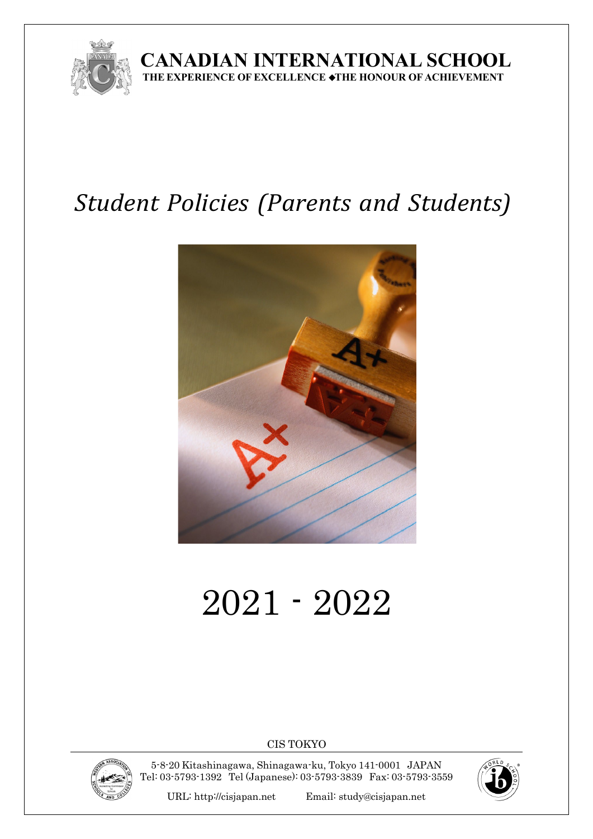

**CANADIAN INTERNATIONAL SCHOOL THEEXPERIENCE OF EXCELLENCE** ◆**THE HONOUR OF ACHIEVEMENT**

# *Student Policies (Parents and Students)*



# 2021 - 2022

CIS TOKYO



5-8-20 Kitashinagawa, Shinagawa-ku, Tokyo 141-0001 JAPAN Tel: 03-5793-1392 Tel (Japanese): 03-5793-3839 Fax: 03-5793-3559



URL: [http://cisjapan.net](http://cisjapan.net/) Email: [study@cisjapan.net](mailto:study@cisjapan.net)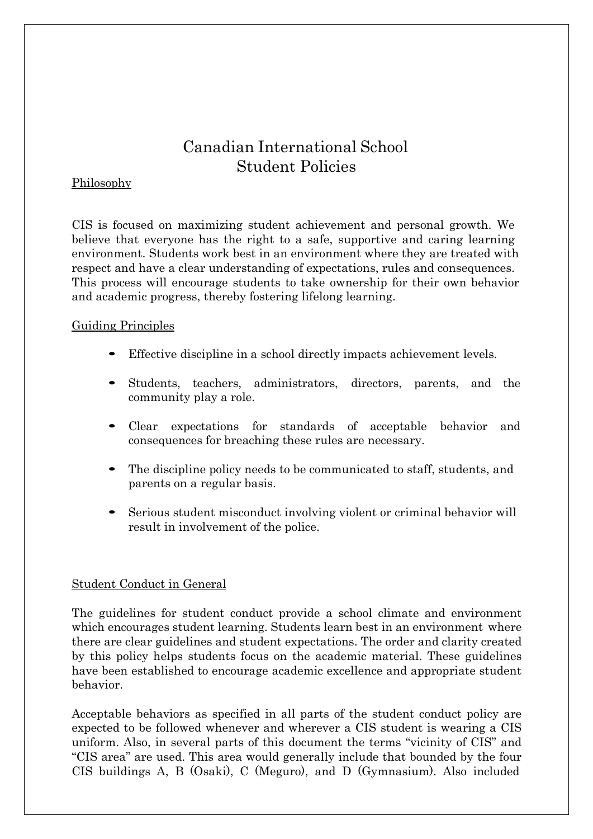### Canadian International School Student Policies

#### Philosophy

CIS is focused on maximizing student achievement and personal growth. We believe that everyone has the right to a safe, supportive and caring learning environment. Students work best in an environment where they are treated with respect and have a clear understanding of expectations, rules and consequences. This process will encourage students to take ownership for their own behavior and academic progress, thereby fostering lifelong learning.

#### Guiding Principles

- Effective discipline in a school directly impacts achievement levels.
- Students, teachers, administrators, directors, parents, and the community play a role.
- Clear expectations for standards of acceptable behavior and consequences for breaching these rules are necessary.
- The discipline policy needs to be communicated to staff, students, and parents on a regular basis.
- Serious student misconduct involving violent or criminal behavior will result in involvement of the police.

#### Student Conduct in General

The guidelines for student conduct provide a school climate and environment which encourages student learning. Students learn best in an environment where there are clear guidelines and student expectations. The order and clarity created by this policy helps students focus on the academic material. These guidelines have been established to encourage academic excellence and appropriate student behavior.

Acceptable behaviors as specified in all parts of the student conduct policy are expected to be followed whenever and wherever a CIS student is wearing a CIS uniform. Also, in several parts of this document the terms "vicinity of CIS" and "CIS area" are used. This area would generally include that bounded by the four CIS buildings A, B (Osaki), C (Meguro), and D (Gymnasium). Also included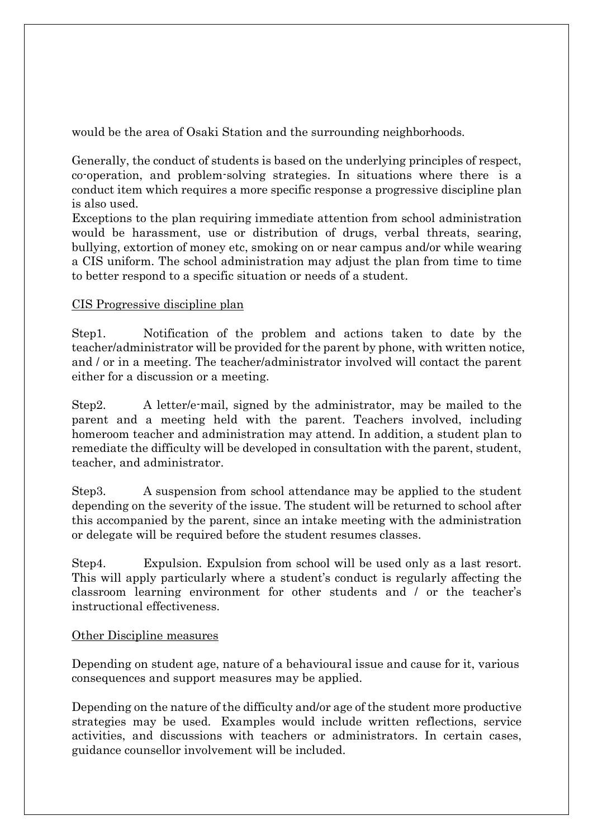would be the area of Osaki Station and the surrounding neighborhoods.

Generally, the conduct of students is based on the underlying principles of respect, co-operation, and problem-solving strategies. In situations where there is a conduct item which requires a more specific response a progressive discipline plan is also used.

Exceptions to the plan requiring immediate attention from school administration would be harassment, use or distribution of drugs, verbal threats, searing, bullying, extortion of money etc, smoking on or near campus and/or while wearing a CIS uniform. The school administration may adjust the plan from time to time to better respond to a specific situation or needs of a student.

#### CIS Progressive discipline plan

Step1. Notification of the problem and actions taken to date by the teacher/administrator will be provided for the parent by phone, with written notice, and / or in a meeting. The teacher/administrator involved will contact the parent either for a discussion or a meeting.

Step2. A letter/e-mail, signed by the administrator, may be mailed to the parent and a meeting held with the parent. Teachers involved, including homeroom teacher and administration may attend. In addition, a student plan to remediate the difficulty will be developed in consultation with the parent, student, teacher, and administrator.

Step3. A suspension from school attendance may be applied to the student depending on the severity of the issue. The student will be returned to school after this accompanied by the parent, since an intake meeting with the administration or delegate will be required before the student resumes classes.

Step4. Expulsion. Expulsion from school will be used only as a last resort. This will apply particularly where a student's conduct is regularly affecting the classroom learning environment for other students and / or the teacher's instructional effectiveness.

#### Other Discipline measures

Depending on student age, nature of a behavioural issue and cause for it, various consequences and support measures may be applied.

Depending on the nature of the difficulty and/or age of the student more productive strategies may be used. Examples would include written reflections, service activities, and discussions with teachers or administrators. In certain cases, guidance counsellor involvement will be included.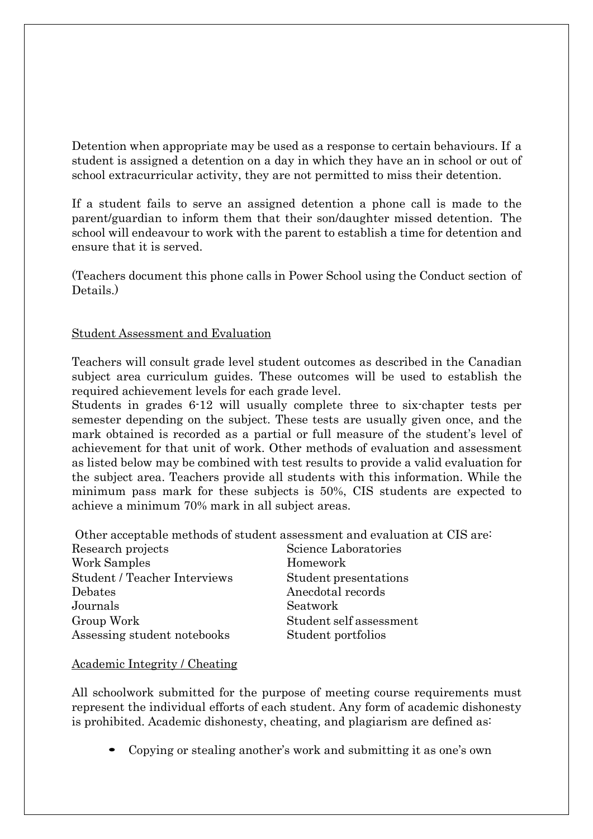Detention when appropriate may be used as a response to certain behaviours. If a student is assigned a detention on a day in which they have an in school or out of school extracurricular activity, they are not permitted to miss their detention.

If a student fails to serve an assigned detention a phone call is made to the parent/guardian to inform them that their son/daughter missed detention. The school will endeavour to work with the parent to establish a time for detention and ensure that it is served.

(Teachers document this phone calls in Power School using the Conduct section of Details.)

#### Student Assessment and Evaluation

Teachers will consult grade level student outcomes as described in the Canadian subject area curriculum guides. These outcomes will be used to establish the required achievement levels for each grade level.

Students in grades 6-12 will usually complete three to six-chapter tests per semester depending on the subject. These tests are usually given once, and the mark obtained is recorded as a partial or full measure of the student's level of achievement for that unit of work. Other methods of evaluation and assessment as listed below may be combined with test results to provide a valid evaluation for the subject area. Teachers provide all students with this information. While the minimum pass mark for these subjects is 50%, CIS students are expected to achieve a minimum 70% mark in all subject areas.

Other acceptable methods of student assessment and evaluation at CIS are:

| Research projects                   | Science Laboratories    |
|-------------------------------------|-------------------------|
| Work Samples                        | Homework                |
| <b>Student / Teacher Interviews</b> | Student presentations   |
| Debates                             | Anecdotal records       |
| Journals                            | Seatwork                |
| Group Work                          | Student self assessment |
| Assessing student notebooks         | Student portfolios      |

#### Academic Integrity / Cheating

All schoolwork submitted for the purpose of meeting course requirements must represent the individual efforts of each student. Any form of academic dishonesty is prohibited. Academic dishonesty, cheating, and plagiarism are defined as:

Copying or stealing another's work and submitting it as one's own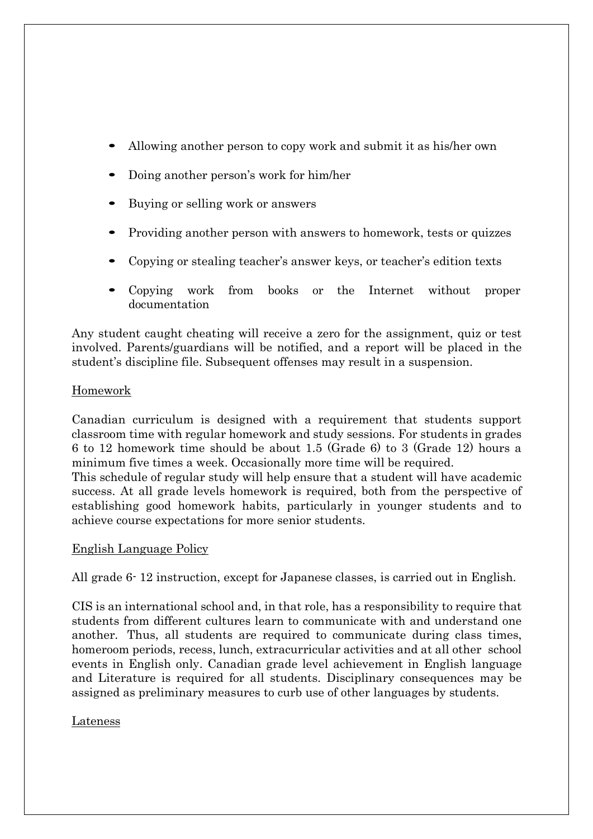- Allowing another person to copy work and submit it as his/her own
- Doing another person's work for him/her
- Buying or selling work or answers
- Providing another person with answers to homework, tests or quizzes
- Copying or stealing teacher's answer keys, or teacher's edition texts
- Copying work from books or the Internet without proper documentation

Any student caught cheating will receive a zero for the assignment, quiz or test involved. Parents/guardians will be notified, and a report will be placed in the student's discipline file. Subsequent offenses may result in a suspension.

#### Homework

Canadian curriculum is designed with a requirement that students support classroom time with regular homework and study sessions. For students in grades 6 to 12 homework time should be about 1.5 (Grade 6) to 3 (Grade 12) hours a minimum five times a week. Occasionally more time will be required.

This schedule of regular study will help ensure that a student will have academic success. At all grade levels homework is required, both from the perspective of establishing good homework habits, particularly in younger students and to achieve course expectations for more senior students.

#### English Language Policy

All grade 6- 12 instruction, except for Japanese classes, is carried out in English.

CIS is an international school and, in that role, has a responsibility to require that students from different cultures learn to communicate with and understand one another. Thus, all students are required to communicate during class times, homeroom periods, recess, lunch, extracurricular activities and at all other school events in English only. Canadian grade level achievement in English language and Literature is required for all students. Disciplinary consequences may be assigned as preliminary measures to curb use of other languages by students.

#### Lateness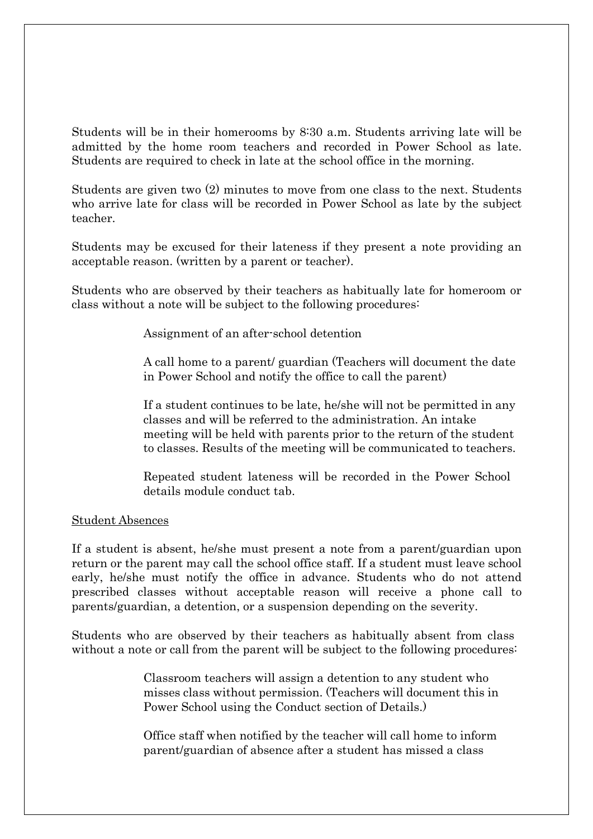Students will be in their homerooms by 8:30 a.m. Students arriving late will be admitted by the home room teachers and recorded in Power School as late. Students are required to check in late at the school office in the morning.

Students are given two (2) minutes to move from one class to the next. Students who arrive late for class will be recorded in Power School as late by the subject teacher.

Students may be excused for their lateness if they present a note providing an acceptable reason. (written by a parent or teacher).

Students who are observed by their teachers as habitually late for homeroom or class without a note will be subject to the following procedures:

Assignment of an after-school detention

A call home to a parent/ guardian (Teachers will document the date in Power School and notify the office to call the parent)

If a student continues to be late, he/she will not be permitted in any classes and will be referred to the administration. An intake meeting will be held with parents prior to the return of the student to classes. Results of the meeting will be communicated to teachers.

Repeated student lateness will be recorded in the Power School details module conduct tab.

#### Student Absences

If a student is absent, he/she must present a note from a parent/guardian upon return or the parent may call the school office staff. If a student must leave school early, he/she must notify the office in advance. Students who do not attend prescribed classes without acceptable reason will receive a phone call to parents/guardian, a detention, or a suspension depending on the severity.

Students who are observed by their teachers as habitually absent from class without a note or call from the parent will be subject to the following procedures:

> Classroom teachers will assign a detention to any student who misses class without permission. (Teachers will document this in Power School using the Conduct section of Details.)

> Office staff when notified by the teacher will call home to inform parent/guardian of absence after a student has missed a class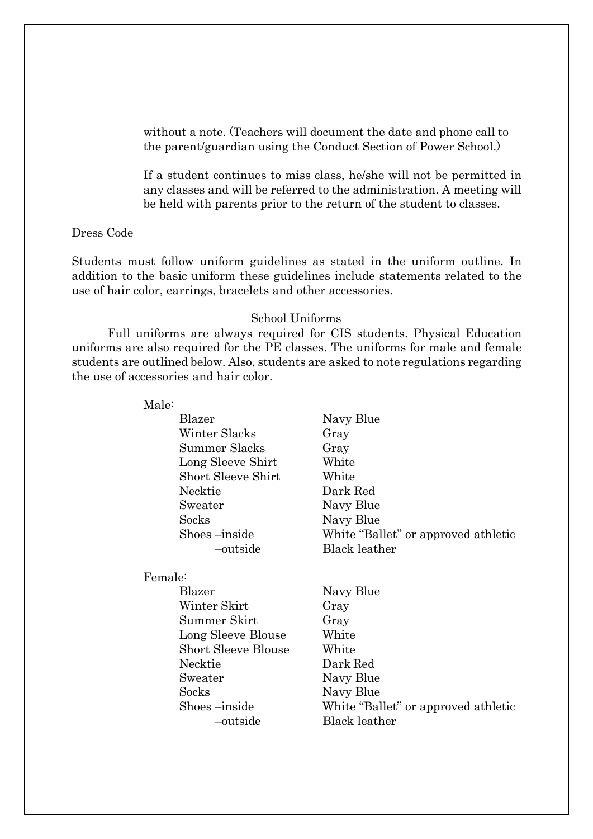without a note. (Teachers will document the date and phone call to the parent/guardian using the Conduct Section of Power School.)

If a student continues to miss class, he/she will not be permitted in any classes and will be referred to the administration. A meeting will be held with parents prior to the return of the student to classes.

#### Dress Code

Students must follow uniform guidelines as stated in the uniform outline. In addition to the basic uniform these guidelines include statements related to the use of hair color, earrings, bracelets and other accessories.

#### School Uniforms

Full uniforms are always required for CIS students. Physical Education uniforms are also required for the PE classes. The uniforms for male and female students are outlined below. Also, students are asked to note regulations regarding the use of accessories and hair color.

| Male:                      |                                     |
|----------------------------|-------------------------------------|
| Blazer                     | Navy Blue                           |
| Winter Slacks              | Gray                                |
| Summer Slacks              | Gray                                |
| Long Sleeve Shirt          | White                               |
| <b>Short Sleeve Shirt</b>  | White                               |
| Necktie                    | Dark Red                            |
| Sweater                    | Navy Blue                           |
| Socks                      | Navy Blue                           |
| Shoes-inside               | White "Ballet" or approved athletic |
| -outside                   | <b>Black leather</b>                |
| Female:                    |                                     |
| Blazer                     | Navy Blue                           |
| Winter Skirt               | Gray                                |
| Summer Skirt               | Gray                                |
| Long Sleeve Blouse         | White                               |
| <b>Short Sleeve Blouse</b> | White                               |
| Necktie                    | Dark Red                            |
| Sweater                    | Navy Blue                           |
| Socks                      | Navy Blue                           |
| Shoes-inside               | White "Ballet" or approved athletic |
| outside                    | <b>Black leather</b>                |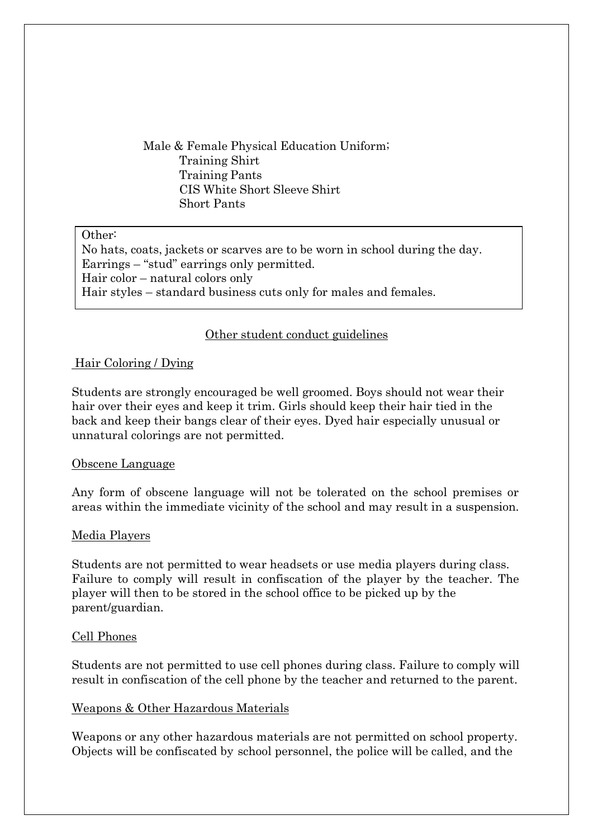Male & Female Physical Education Uniform; Training Shirt Training Pants CIS White Short Sleeve Shirt Short Pants

#### Other:

No hats, coats, jackets or scarves are to be worn in school during the day. Earrings – "stud" earrings only permitted. Hair color – natural colors only Hair styles – standard business cuts only for males and females.

#### Other student conduct guidelines

#### Hair Coloring / Dying

Students are strongly encouraged be well groomed. Boys should not wear their hair over their eyes and keep it trim. Girls should keep their hair tied in the back and keep their bangs clear of their eyes. Dyed hair especially unusual or unnatural colorings are not permitted.

#### Obscene Language

Any form of obscene language will not be tolerated on the school premises or areas within the immediate vicinity of the school and may result in a suspension.

#### Media Players

Students are not permitted to wear headsets or use media players during class. Failure to comply will result in confiscation of the player by the teacher. The player will then to be stored in the school office to be picked up by the parent/guardian.

#### Cell Phones

Students are not permitted to use cell phones during class. Failure to comply will result in confiscation of the cell phone by the teacher and returned to the parent.

#### Weapons & Other Hazardous Materials

Weapons or any other hazardous materials are not permitted on school property. Objects will be confiscated by school personnel, the police will be called, and the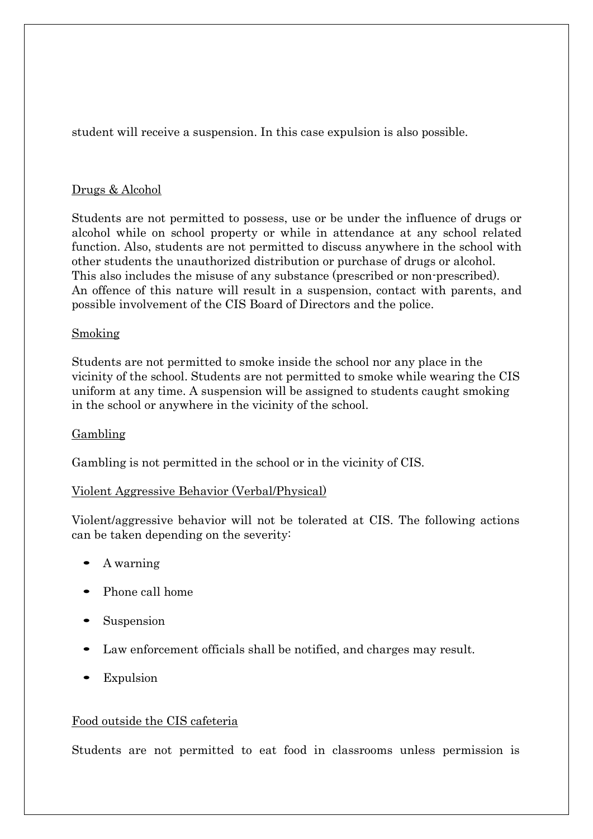student will receive a suspension. In this case expulsion is also possible.

#### Drugs & Alcohol

Students are not permitted to possess, use or be under the influence of drugs or alcohol while on school property or while in attendance at any school related function. Also, students are not permitted to discuss anywhere in the school with other students the unauthorized distribution or purchase of drugs or alcohol. This also includes the misuse of any substance (prescribed or non-prescribed). An offence of this nature will result in a suspension, contact with parents, and possible involvement of the CIS Board of Directors and the police.

#### Smoking

Students are not permitted to smoke inside the school nor any place in the vicinity of the school. Students are not permitted to smoke while wearing the CIS uniform at any time. A suspension will be assigned to students caught smoking in the school or anywhere in the vicinity of the school.

#### Gambling

Gambling is not permitted in the school or in the vicinity of CIS.

#### Violent Aggressive Behavior (Verbal/Physical)

Violent/aggressive behavior will not be tolerated at CIS. The following actions can be taken depending on the severity:

- A warning
- Phone call home
- Suspension
- Law enforcement officials shall be notified, and charges may result.
- Expulsion

#### Food outside the CIS cafeteria

Students are not permitted to eat food in classrooms unless permission is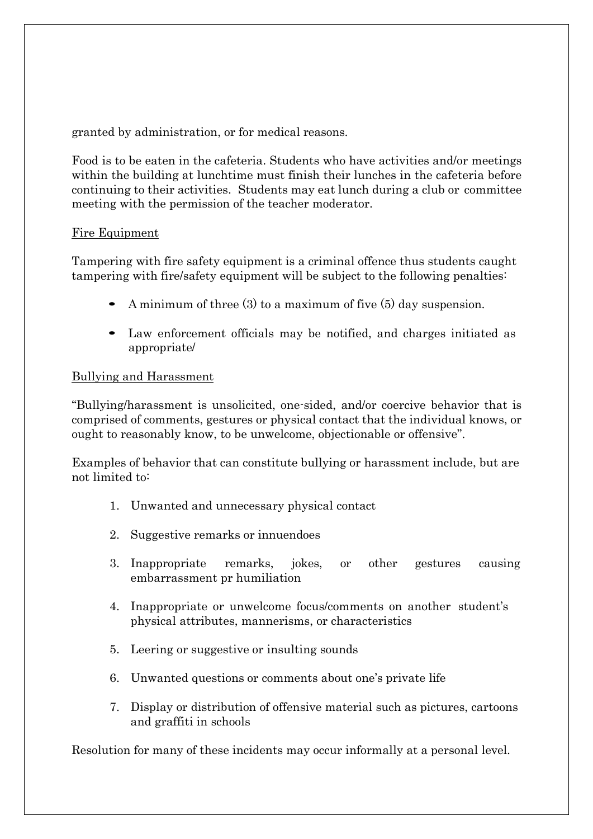granted by administration, or for medical reasons.

Food is to be eaten in the cafeteria. Students who have activities and/or meetings within the building at lunchtime must finish their lunches in the cafeteria before continuing to their activities. Students may eat lunch during a club or committee meeting with the permission of the teacher moderator.

#### Fire Equipment

Tampering with fire safety equipment is a criminal offence thus students caught tampering with fire/safety equipment will be subject to the following penalties:

- A minimum of three (3) to a maximum of five (5) day suspension.
- Law enforcement officials may be notified, and charges initiated as appropriate/

#### Bullying and Harassment

"Bullying/harassment is unsolicited, one-sided, and/or coercive behavior that is comprised of comments, gestures or physical contact that the individual knows, or ought to reasonably know, to be unwelcome, objectionable or offensive".

Examples of behavior that can constitute bullying or harassment include, but are not limited to:

- 1. Unwanted and unnecessary physical contact
- 2. Suggestive remarks or innuendoes
- 3. Inappropriate remarks, jokes, or other gestures causing embarrassment pr humiliation
- 4. Inappropriate or unwelcome focus/comments on another student's physical attributes, mannerisms, or characteristics
- 5. Leering or suggestive or insulting sounds
- 6. Unwanted questions or comments about one's private life
- 7. Display or distribution of offensive material such as pictures, cartoons and graffiti in schools

Resolution for many of these incidents may occur informally at a personal level.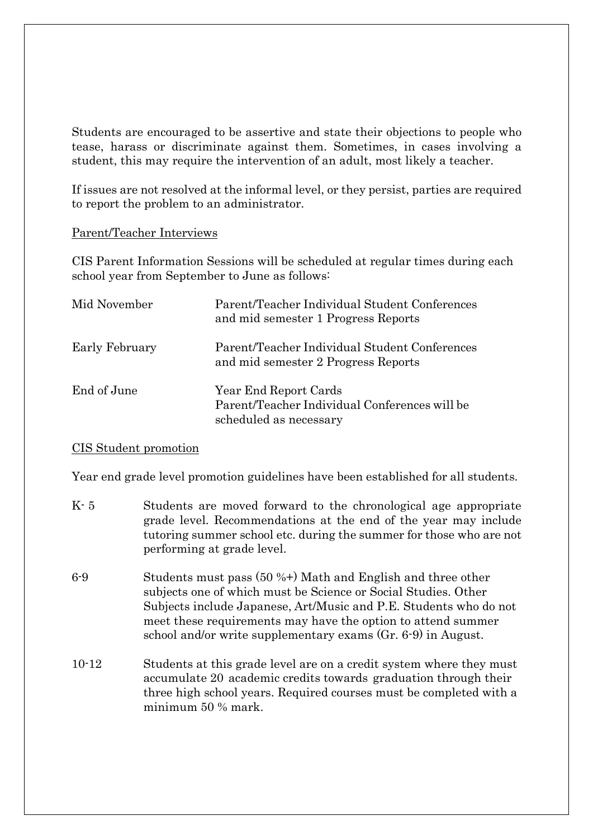Students are encouraged to be assertive and state their objections to people who tease, harass or discriminate against them. Sometimes, in cases involving a student, this may require the intervention of an adult, most likely a teacher.

If issues are not resolved at the informal level, or they persist, parties are required to report the problem to an administrator.

#### Parent/Teacher Interviews

CIS Parent Information Sessions will be scheduled at regular times during each school year from September to June as follows:

| Mid November   | Parent/Teacher Individual Student Conferences<br>and mid semester 1 Progress Reports             |
|----------------|--------------------------------------------------------------------------------------------------|
| Early February | Parent/Teacher Individual Student Conferences<br>and mid semester 2 Progress Reports             |
| End of June    | Year End Report Cards<br>Parent/Teacher Individual Conferences will be<br>scheduled as necessary |

#### CIS Student promotion

Year end grade level promotion guidelines have been established for all students.

- K- 5 Students are moved forward to the chronological age appropriate grade level. Recommendations at the end of the year may include tutoring summer school etc. during the summer for those who are not performing at grade level.
- 6-9 Students must pass (50 %+) Math and English and three other subjects one of which must be Science or Social Studies. Other Subjects include Japanese, Art/Music and P.E. Students who do not meet these requirements may have the option to attend summer school and/or write supplementary exams (Gr. 6-9) in August.
- 10-12 Students at this grade level are on a credit system where they must accumulate 20 academic credits towards graduation through their three high school years. Required courses must be completed with a minimum 50 % mark.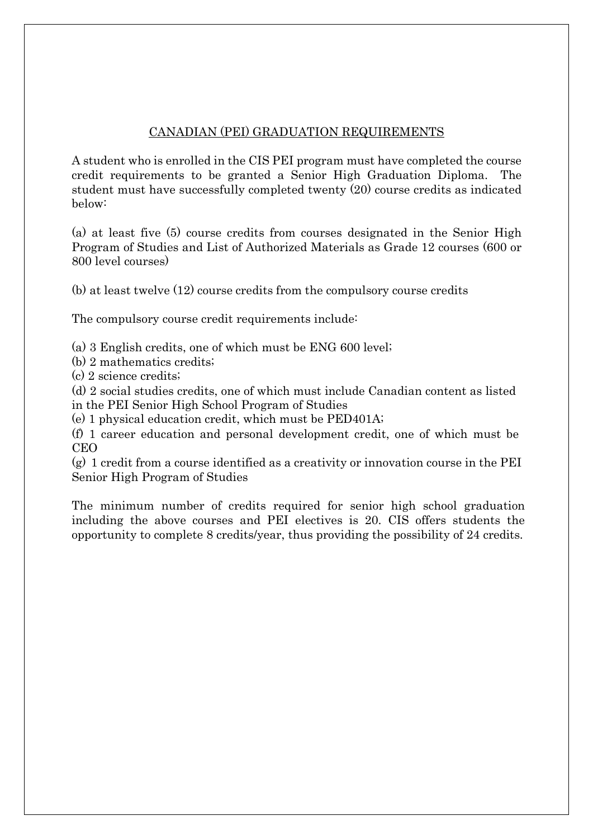#### CANADIAN (PEI) GRADUATION REQUIREMENTS

A student who is enrolled in the CIS PEI program must have completed the course credit requirements to be granted a Senior High Graduation Diploma. The student must have successfully completed twenty (20) course credits as indicated below:

(a) at least five (5) course credits from courses designated in the Senior High Program of Studies and List of Authorized Materials as Grade 12 courses (600 or 800 level courses)

(b) at least twelve (12) course credits from the compulsory course credits

The compulsory course credit requirements include:

(a) 3 English credits, one of which must be ENG 600 level;

(b) 2 mathematics credits;

(c) 2 science credits;

(d) 2 social studies credits, one of which must include Canadian content as listed in the PEI Senior High School Program of Studies

(e) 1 physical education credit, which must be PED401A;

(f) 1 career education and personal development credit, one of which must be CEO

(g) 1 credit from a course identified as a creativity or innovation course in the PEI Senior High Program of Studies

The minimum number of credits required for senior high school graduation including the above courses and PEI electives is 20. CIS offers students the opportunity to complete 8 credits/year, thus providing the possibility of 24 credits.